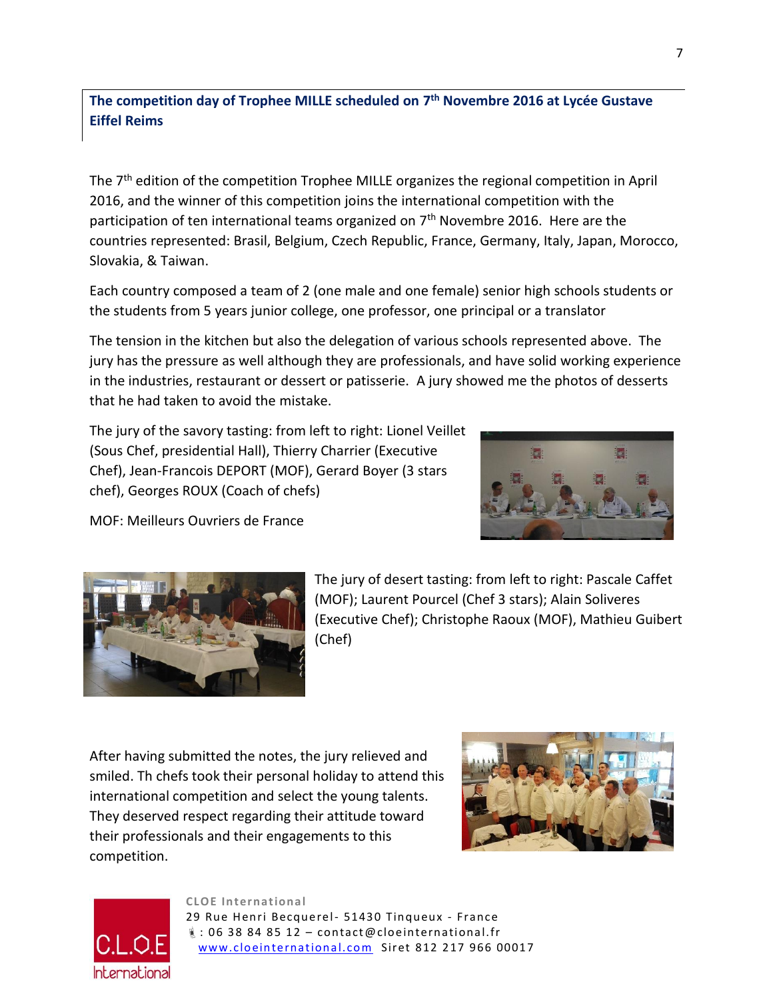**The competition day of Trophee MILLE scheduled on 7 th Novembre 2016 at Lycée Gustave Eiffel Reims**

The 7<sup>th</sup> edition of the competition Trophee MILLE organizes the regional competition in April 2016, and the winner of this competition joins the international competition with the participation of ten international teams organized on  $7<sup>th</sup>$  Novembre 2016. Here are the countries represented: Brasil, Belgium, Czech Republic, France, Germany, Italy, Japan, Morocco, Slovakia, & Taiwan.

Each country composed a team of 2 (one male and one female) senior high schools students or the students from 5 years junior college, one professor, one principal or a translator

The tension in the kitchen but also the delegation of various schools represented above. The jury has the pressure as well although they are professionals, and have solid working experience in the industries, restaurant or dessert or patisserie. A jury showed me the photos of desserts that he had taken to avoid the mistake.

The jury of the savory tasting: from left to right: Lionel Veillet (Sous Chef, presidential Hall), Thierry Charrier (Executive Chef), Jean-Francois DEPORT (MOF), Gerard Boyer (3 stars chef), Georges ROUX (Coach of chefs)



MOF: Meilleurs Ouvriers de France



The jury of desert tasting: from left to right: Pascale Caffet (MOF); Laurent Pourcel (Chef 3 stars); Alain Soliveres (Executive Chef); Christophe Raoux (MOF), Mathieu Guibert (Chef)

After having submitted the notes, the jury relieved and smiled. Th chefs took their personal holiday to attend this international competition and select the young talents. They deserved respect regarding their attitude toward their professionals and their engagements to this competition.





**CLOE In ternational** 29 Rue Henri Becquerel- 51430 Tinqueux - France  $\frac{1}{2}$ : 06 38 84 85 12 - contact@cloeinternational.fr www.cloeinternational.com Siret 812 217 966 00017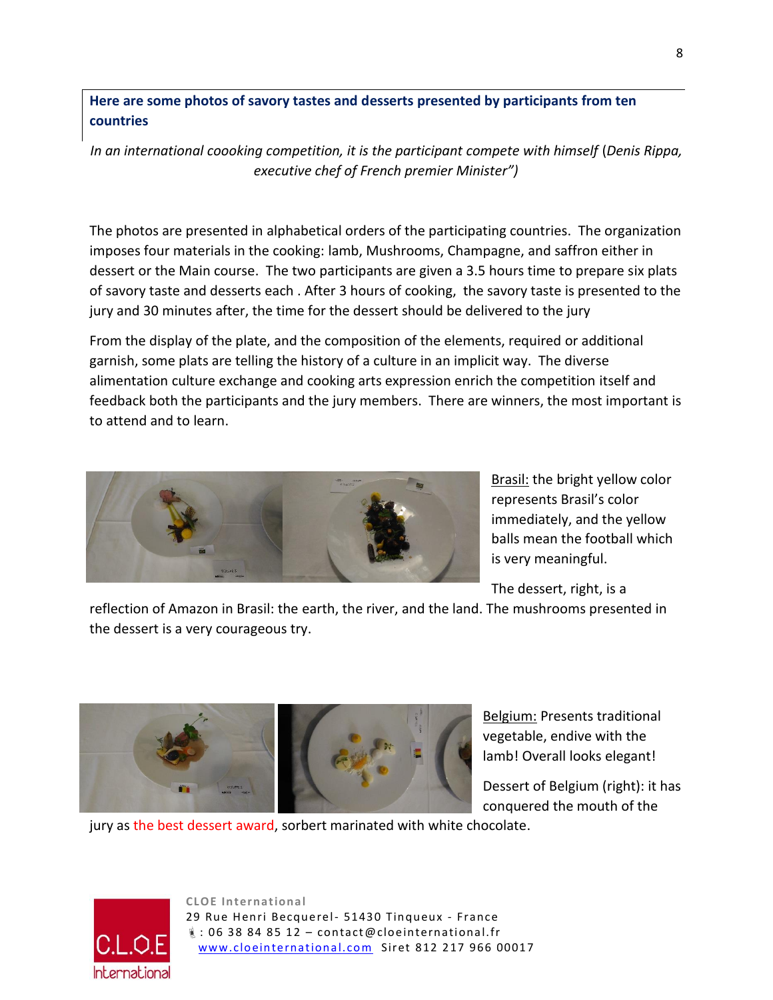**Here are some photos of savory tastes and desserts presented by participants from ten countries**

In an international coooking competition, it is the participant compete with himself (Denis Rippa, *executive chef of French premier Minister")*

The photos are presented in alphabetical orders of the participating countries. The organization imposes four materials in the cooking: lamb, Mushrooms, Champagne, and saffron either in dessert or the Main course. The two participants are given a 3.5 hours time to prepare six plats of savory taste and desserts each . After 3 hours of cooking, the savory taste is presented to the jury and 30 minutes after, the time for the dessert should be delivered to the jury

From the display of the plate, and the composition of the elements, required or additional garnish, some plats are telling the history of a culture in an implicit way. The diverse alimentation culture exchange and cooking arts expression enrich the competition itself and feedback both the participants and the jury members. There are winners, the most important is to attend and to learn.



**Brasil:** the bright yellow color represents Brasil's color immediately, and the yellow balls mean the football which is very meaningful.

The dessert, right, is a

reflection of Amazon in Brasil: the earth, the river, and the land. The mushrooms presented in the dessert is a very courageous try.



Belgium: Presents traditional vegetable, endive with the lamb! Overall looks elegant!

Dessert of Belgium (right): it has conquered the mouth of the

jury as the best dessert award, sorbert marinated with white chocolate.



**CLOE In ternational** 29 Rue Henri Becquerel- 51430 Tinqueux - France  $\frac{1}{2}$ : 06 38 84 85 12 - contact@cloeinternational.fr www.cloeinternational.com Siret 812 217 966 00017